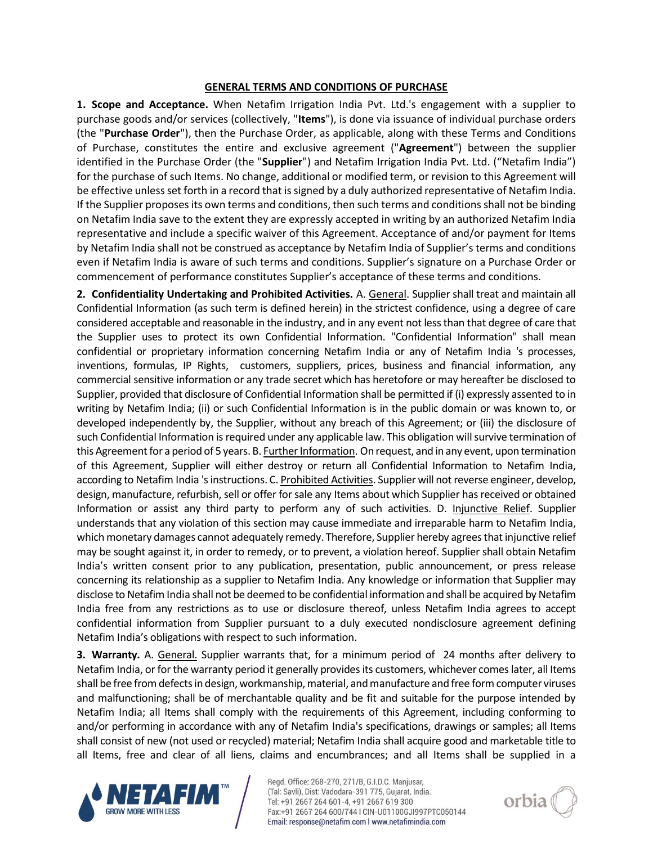## **GENERAL TERMS AND CONDITIONS OF PURCHASE**

**1. Scope and Acceptance.** When Netafim Irrigation India Pvt. Ltd.'s engagement with a supplier to purchase goods and/or services (collectively, "**Items**"), is done via issuance of individual purchase orders (the "**Purchase Order**"), then the Purchase Order, as applicable, along with these Terms and Conditions of Purchase, constitutes the entire and exclusive agreement ("**Agreement**") between the supplier identified in the Purchase Order (the "**Supplier**") and Netafim Irrigation India Pvt. Ltd. ("Netafim India") for the purchase of such Items. No change, additional or modified term, or revision to this Agreement will be effective unless set forth in a record that is signed by a duly authorized representative of Netafim India. If the Supplier proposes its own terms and conditions, then such terms and conditions shall not be binding on Netafim India save to the extent they are expressly accepted in writing by an authorized Netafim India representative and include a specific waiver of this Agreement. Acceptance of and/or payment for Items by Netafim India shall not be construed as acceptance by Netafim India of Supplier's terms and conditions even if Netafim India is aware of such terms and conditions. Supplier's signature on a Purchase Order or commencement of performance constitutes Supplier's acceptance of these terms and conditions.

**2. Confidentiality Undertaking and Prohibited Activities.** A. General. Supplier shall treat and maintain all Confidential Information (as such term is defined herein) in the strictest confidence, using a degree of care considered acceptable and reasonable in the industry, and in any event not less than that degree of care that the Supplier uses to protect its own Confidential Information. "Confidential Information" shall mean confidential or proprietary information concerning Netafim India or any of Netafim India 's processes, inventions, formulas, IP Rights, customers, suppliers, prices, business and financial information, any commercial sensitive information or any trade secret which has heretofore or may hereafter be disclosed to Supplier, provided that disclosure of Confidential Information shall be permitted if (i) expressly assented to in writing by Netafim India; (ii) or such Confidential Information is in the public domain or was known to, or developed independently by, the Supplier, without any breach of this Agreement; or (iii) the disclosure of such Confidential Information is required under any applicable law. This obligation will survive termination of this Agreement for a period of 5 years. B. **Further Information**. On request, and in any event, upon termination of this Agreement, Supplier will either destroy or return all Confidential Information to Netafim India, according to Netafim India 's instructions. C. Prohibited Activities. Supplier will not reverse engineer, develop, design, manufacture, refurbish, sell or offer for sale any Items about which Supplier has received or obtained Information or assist any third party to perform any of such activities. D. Injunctive Relief. Supplier understands that any violation of this section may cause immediate and irreparable harm to Netafim India, which monetary damages cannot adequately remedy. Therefore, Supplier hereby agrees that injunctive relief may be sought against it, in order to remedy, or to prevent, a violation hereof. Supplier shall obtain Netafim India's written consent prior to any publication, presentation, public announcement, or press release concerning its relationship as a supplier to Netafim India. Any knowledge or information that Supplier may disclose to Netafim India shall not be deemed to be confidential information and shall be acquired by Netafim India free from any restrictions as to use or disclosure thereof, unless Netafim India agrees to accept confidential information from Supplier pursuant to a duly executed nondisclosure agreement defining Netafim India's obligations with respect to such information.

**3. Warranty.** A. General. Supplier warrants that, for a minimum period of 24 months after delivery to Netafim India, or for the warranty period it generally provides its customers, whichever comes later, all Items shall be free from defects in design, workmanship, material, and manufacture and free form computer viruses and malfunctioning; shall be of merchantable quality and be fit and suitable for the purpose intended by Netafim India; all Items shall comply with the requirements of this Agreement, including conforming to and/or performing in accordance with any of Netafim India's specifications, drawings or samples; all Items shall consist of new (not used or recycled) material; Netafim India shall acquire good and marketable title to all Items, free and clear of all liens, claims and encumbrances; and all Items shall be supplied in a



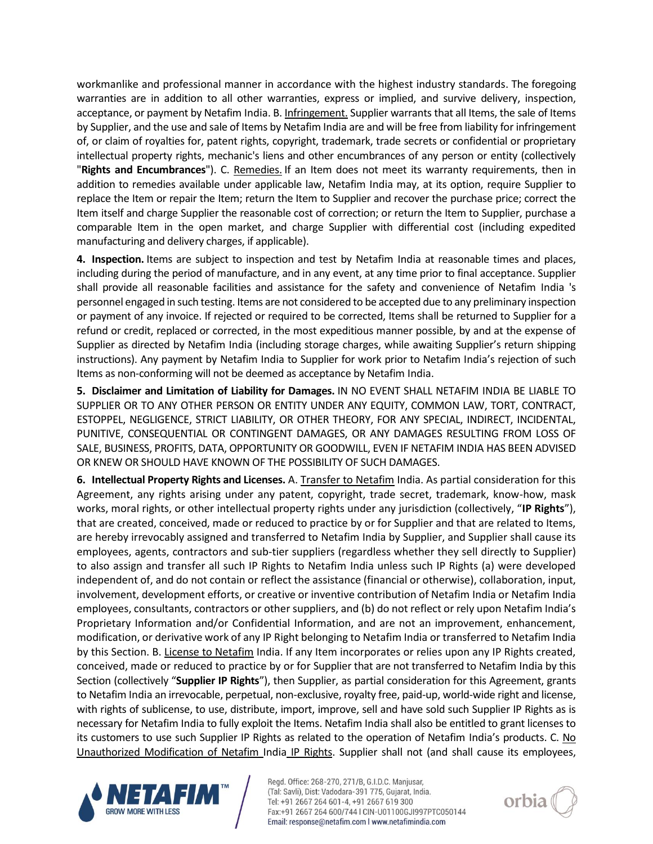workmanlike and professional manner in accordance with the highest industry standards. The foregoing warranties are in addition to all other warranties, express or implied, and survive delivery, inspection, acceptance, or payment by Netafim India. B. Infringement. Supplier warrants that all Items, the sale of Items by Supplier, and the use and sale of Items by Netafim India are and will be free from liability for infringement of, or claim of royalties for, patent rights, copyright, trademark, trade secrets or confidential or proprietary intellectual property rights, mechanic's liens and other encumbrances of any person or entity (collectively "**Rights and Encumbrances**"). C. Remedies. If an Item does not meet its warranty requirements, then in addition to remedies available under applicable law, Netafim India may, at its option, require Supplier to replace the Item or repair the Item; return the Item to Supplier and recover the purchase price; correct the Item itself and charge Supplier the reasonable cost of correction; or return the Item to Supplier, purchase a comparable Item in the open market, and charge Supplier with differential cost (including expedited manufacturing and delivery charges, if applicable).

**4. Inspection.** Items are subject to inspection and test by Netafim India at reasonable times and places, including during the period of manufacture, and in any event, at any time prior to final acceptance. Supplier shall provide all reasonable facilities and assistance for the safety and convenience of Netafim India 's personnel engaged in such testing. Items are not considered to be accepted due to any preliminary inspection or payment of any invoice. If rejected or required to be corrected, Items shall be returned to Supplier for a refund or credit, replaced or corrected, in the most expeditious manner possible, by and at the expense of Supplier as directed by Netafim India (including storage charges, while awaiting Supplier's return shipping instructions). Any payment by Netafim India to Supplier for work prior to Netafim India's rejection of such Items as non-conforming will not be deemed as acceptance by Netafim India.

**5. Disclaimer and Limitation of Liability for Damages.** IN NO EVENT SHALL NETAFIM INDIA BE LIABLE TO SUPPLIER OR TO ANY OTHER PERSON OR ENTITY UNDER ANY EQUITY, COMMON LAW, TORT, CONTRACT, ESTOPPEL, NEGLIGENCE, STRICT LIABILITY, OR OTHER THEORY, FOR ANY SPECIAL, INDIRECT, INCIDENTAL, PUNITIVE, CONSEQUENTIAL OR CONTINGENT DAMAGES, OR ANY DAMAGES RESULTING FROM LOSS OF SALE, BUSINESS, PROFITS, DATA, OPPORTUNITY OR GOODWILL, EVEN IF NETAFIM INDIA HAS BEEN ADVISED OR KNEW OR SHOULD HAVE KNOWN OF THE POSSIBILITY OF SUCH DAMAGES.

**6. Intellectual Property Rights and Licenses.** A. Transfer to Netafim India. As partial consideration for this Agreement, any rights arising under any patent, copyright, trade secret, trademark, know-how, mask works, moral rights, or other intellectual property rights under any jurisdiction (collectively, "**IP Rights**"), that are created, conceived, made or reduced to practice by or for Supplier and that are related to Items, are hereby irrevocably assigned and transferred to Netafim India by Supplier, and Supplier shall cause its employees, agents, contractors and sub-tier suppliers (regardless whether they sell directly to Supplier) to also assign and transfer all such IP Rights to Netafim India unless such IP Rights (a) were developed independent of, and do not contain or reflect the assistance (financial or otherwise), collaboration, input, involvement, development efforts, or creative or inventive contribution of Netafim India or Netafim India employees, consultants, contractors or other suppliers, and (b) do not reflect or rely upon Netafim India's Proprietary Information and/or Confidential Information, and are not an improvement, enhancement, modification, or derivative work of any IP Right belonging to Netafim India or transferred to Netafim India by this Section. B. License to Netafim India. If any Item incorporates or relies upon any IP Rights created, conceived, made or reduced to practice by or for Supplier that are not transferred to Netafim India by this Section (collectively "**Supplier IP Rights**"), then Supplier, as partial consideration for this Agreement, grants to Netafim India an irrevocable, perpetual, non-exclusive, royalty free, paid-up, world-wide right and license, with rights of sublicense, to use, distribute, import, improve, sell and have sold such Supplier IP Rights as is necessary for Netafim India to fully exploit the Items. Netafim India shall also be entitled to grant licenses to its customers to use such Supplier IP Rights as related to the operation of Netafim India's products. C. No Unauthorized Modification of Netafim India IP Rights. Supplier shall not (and shall cause its employees,



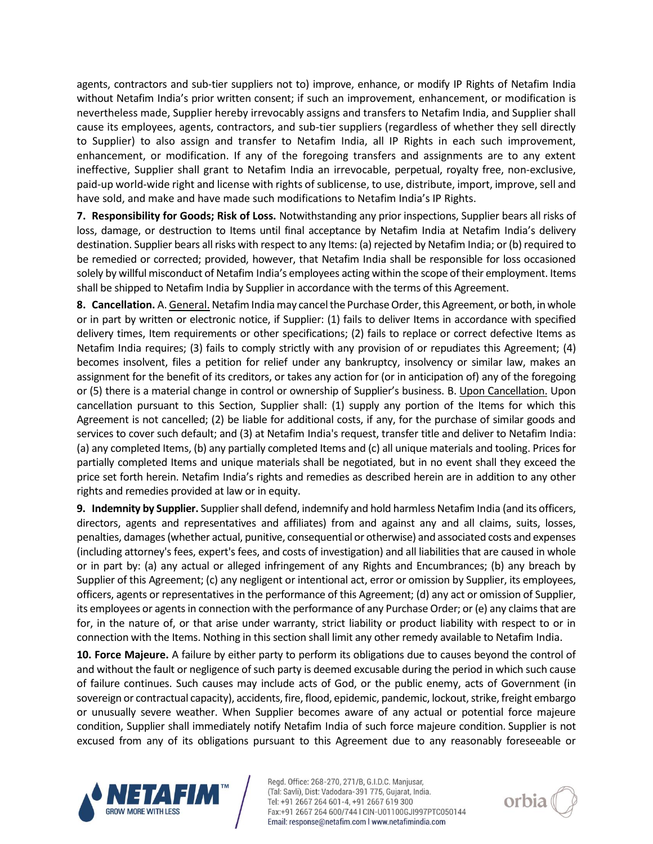agents, contractors and sub-tier suppliers not to) improve, enhance, or modify IP Rights of Netafim India without Netafim India's prior written consent; if such an improvement, enhancement, or modification is nevertheless made, Supplier hereby irrevocably assigns and transfers to Netafim India, and Supplier shall cause its employees, agents, contractors, and sub-tier suppliers (regardless of whether they sell directly to Supplier) to also assign and transfer to Netafim India, all IP Rights in each such improvement, enhancement, or modification. If any of the foregoing transfers and assignments are to any extent ineffective, Supplier shall grant to Netafim India an irrevocable, perpetual, royalty free, non-exclusive, paid-up world-wide right and license with rights of sublicense, to use, distribute, import, improve, sell and have sold, and make and have made such modifications to Netafim India's IP Rights.

**7. Responsibility for Goods; Risk of Loss.** Notwithstanding any prior inspections, Supplier bears all risks of loss, damage, or destruction to Items until final acceptance by Netafim India at Netafim India's delivery destination. Supplier bears all risks with respect to any Items: (a) rejected by Netafim India; or (b) required to be remedied or corrected; provided, however, that Netafim India shall be responsible for loss occasioned solely by willful misconduct of Netafim India's employees acting within the scope of their employment. Items shall be shipped to Netafim India by Supplier in accordance with the terms of this Agreement.

**8. Cancellation.** A. General. Netafim India may cancel the Purchase Order, this Agreement, or both, in whole or in part by written or electronic notice, if Supplier: (1) fails to deliver Items in accordance with specified delivery times, Item requirements or other specifications; (2) fails to replace or correct defective Items as Netafim India requires; (3) fails to comply strictly with any provision of or repudiates this Agreement; (4) becomes insolvent, files a petition for relief under any bankruptcy, insolvency or similar law, makes an assignment for the benefit of its creditors, or takes any action for (or in anticipation of) any of the foregoing or (5) there is a material change in control or ownership of Supplier's business. B. Upon Cancellation. Upon cancellation pursuant to this Section, Supplier shall: (1) supply any portion of the Items for which this Agreement is not cancelled; (2) be liable for additional costs, if any, for the purchase of similar goods and services to cover such default; and (3) at Netafim India's request, transfer title and deliver to Netafim India: (a) any completed Items, (b) any partially completed Items and (c) all unique materials and tooling. Prices for partially completed Items and unique materials shall be negotiated, but in no event shall they exceed the price set forth herein. Netafim India's rights and remedies as described herein are in addition to any other rights and remedies provided at law or in equity.

**9. Indemnity by Supplier.** Supplier shall defend, indemnify and hold harmless Netafim India (and its officers, directors, agents and representatives and affiliates) from and against any and all claims, suits, losses, penalties, damages (whether actual, punitive, consequential or otherwise) and associated costs and expenses (including attorney's fees, expert's fees, and costs of investigation) and all liabilities that are caused in whole or in part by: (a) any actual or alleged infringement of any Rights and Encumbrances; (b) any breach by Supplier of this Agreement; (c) any negligent or intentional act, error or omission by Supplier, its employees, officers, agents or representatives in the performance of this Agreement; (d) any act or omission of Supplier, its employees or agents in connection with the performance of any Purchase Order; or (e) any claims that are for, in the nature of, or that arise under warranty, strict liability or product liability with respect to or in connection with the Items. Nothing in this section shall limit any other remedy available to Netafim India.

**10. Force Majeure.** A failure by either party to perform its obligations due to causes beyond the control of and without the fault or negligence of such party is deemed excusable during the period in which such cause of failure continues. Such causes may include acts of God, or the public enemy, acts of Government (in sovereign or contractual capacity), accidents, fire, flood, epidemic, pandemic, lockout, strike, freight embargo or unusually severe weather. When Supplier becomes aware of any actual or potential force majeure condition, Supplier shall immediately notify Netafim India of such force majeure condition. Supplier is not excused from any of its obligations pursuant to this Agreement due to any reasonably foreseeable or



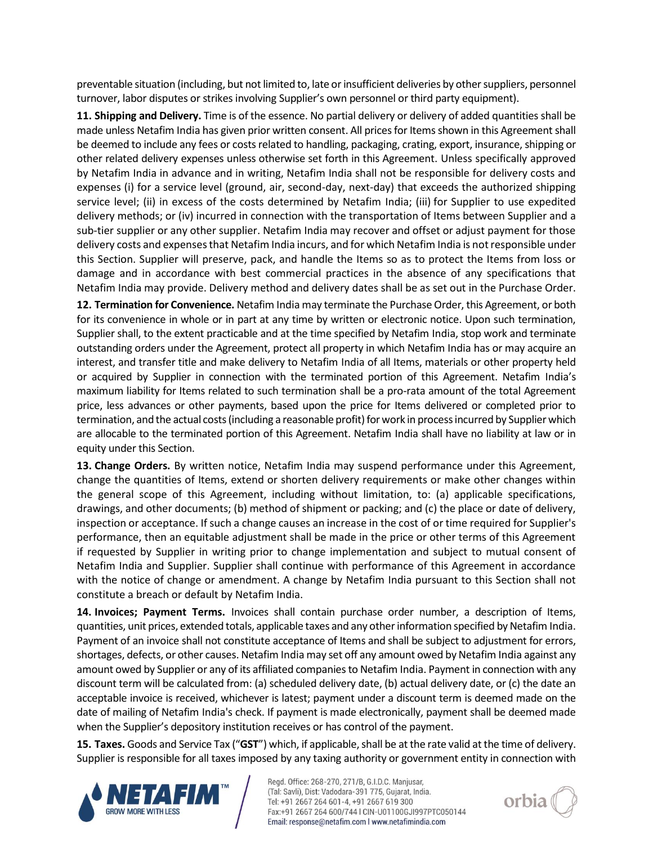preventable situation (including, but not limited to, late or insufficient deliveries by other suppliers, personnel turnover, labor disputes or strikes involving Supplier's own personnel or third party equipment).

**11. Shipping and Delivery.** Time is of the essence. No partial delivery or delivery of added quantities shall be made unless Netafim India has given prior written consent. All prices for Items shown in this Agreement shall be deemed to include any fees or costs related to handling, packaging, crating, export, insurance, shipping or other related delivery expenses unless otherwise set forth in this Agreement. Unless specifically approved by Netafim India in advance and in writing, Netafim India shall not be responsible for delivery costs and expenses (i) for a service level (ground, air, second-day, next-day) that exceeds the authorized shipping service level; (ii) in excess of the costs determined by Netafim India; (iii) for Supplier to use expedited delivery methods; or (iv) incurred in connection with the transportation of Items between Supplier and a sub-tier supplier or any other supplier. Netafim India may recover and offset or adjust payment for those delivery costs and expenses that Netafim India incurs, and for which Netafim India is not responsible under this Section. Supplier will preserve, pack, and handle the Items so as to protect the Items from loss or damage and in accordance with best commercial practices in the absence of any specifications that Netafim India may provide. Delivery method and delivery dates shall be as set out in the Purchase Order.

**12. Termination for Convenience.** Netafim India may terminate the Purchase Order, this Agreement, or both for its convenience in whole or in part at any time by written or electronic notice. Upon such termination, Supplier shall, to the extent practicable and at the time specified by Netafim India, stop work and terminate outstanding orders under the Agreement, protect all property in which Netafim India has or may acquire an interest, and transfer title and make delivery to Netafim India of all Items, materials or other property held or acquired by Supplier in connection with the terminated portion of this Agreement. Netafim India's maximum liability for Items related to such termination shall be a pro-rata amount of the total Agreement price, less advances or other payments, based upon the price for Items delivered or completed prior to termination, and the actual costs (including a reasonable profit) for work in process incurred by Supplier which are allocable to the terminated portion of this Agreement. Netafim India shall have no liability at law or in equity under this Section.

**13. Change Orders.** By written notice, Netafim India may suspend performance under this Agreement, change the quantities of Items, extend or shorten delivery requirements or make other changes within the general scope of this Agreement, including without limitation, to: (a) applicable specifications, drawings, and other documents; (b) method of shipment or packing; and (c) the place or date of delivery, inspection or acceptance. If such a change causes an increase in the cost of or time required for Supplier's performance, then an equitable adjustment shall be made in the price or other terms of this Agreement if requested by Supplier in writing prior to change implementation and subject to mutual consent of Netafim India and Supplier. Supplier shall continue with performance of this Agreement in accordance with the notice of change or amendment. A change by Netafim India pursuant to this Section shall not constitute a breach or default by Netafim India.

**14. Invoices; Payment Terms.** Invoices shall contain purchase order number, a description of Items, quantities, unit prices, extended totals, applicable taxes and any other information specified by Netafim India. Payment of an invoice shall not constitute acceptance of Items and shall be subject to adjustment for errors, shortages, defects, or other causes. Netafim India may set off any amount owed by Netafim India against any amount owed by Supplier or any of its affiliated companies to Netafim India. Payment in connection with any discount term will be calculated from: (a) scheduled delivery date, (b) actual delivery date, or (c) the date an acceptable invoice is received, whichever is latest; payment under a discount term is deemed made on the date of mailing of Netafim India's check. If payment is made electronically, payment shall be deemed made when the Supplier's depository institution receives or has control of the payment.

**15. Taxes.** Goods and Service Tax ("**GST**") which, if applicable, shall be at the rate valid at the time of delivery. Supplier is responsible for all taxes imposed by any taxing authority or government entity in connection with



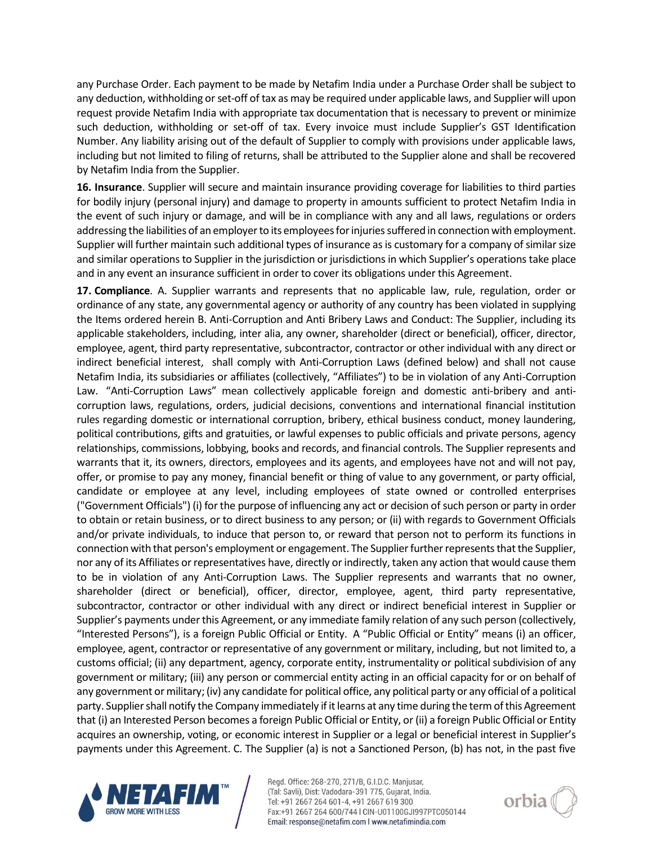any Purchase Order. Each payment to be made by Netafim India under a Purchase Order shall be subject to any deduction, withholding or set-off of tax as may be required under applicable laws, and Supplier will upon request provide Netafim India with appropriate tax documentation that is necessary to prevent or minimize such deduction, withholding or set-off of tax. Every invoice must include Supplier's GST Identification Number. Any liability arising out of the default of Supplier to comply with provisions under applicable laws, including but not limited to filing of returns, shall be attributed to the Supplier alone and shall be recovered by Netafim India from the Supplier.

**16. Insurance**. Supplier will secure and maintain insurance providing coverage for liabilities to third parties for bodily injury (personal injury) and damage to property in amounts sufficient to protect Netafim India in the event of such injury or damage, and will be in compliance with any and all laws, regulations or orders addressing the liabilities of an employer to its employees for injuries suffered in connection with employment. Supplier will further maintain such additional types of insurance as is customary for a company of similar size and similar operations to Supplier in the jurisdiction or jurisdictions in which Supplier's operations take place and in any event an insurance sufficient in order to cover its obligations under this Agreement.

**17. Compliance**. A. Supplier warrants and represents that no applicable law, rule, regulation, order or ordinance of any state, any governmental agency or authority of any country has been violated in supplying the Items ordered herein B. Anti-Corruption and Anti Bribery Laws and Conduct: The Supplier, including its applicable stakeholders, including, inter alia, any owner, shareholder (direct or beneficial), officer, director, employee, agent, third party representative, subcontractor, contractor or other individual with any direct or indirect beneficial interest, shall comply with Anti-Corruption Laws (defined below) and shall not cause Netafim India, its subsidiaries or affiliates (collectively, "Affiliates") to be in violation of any Anti-Corruption Law. "Anti-Corruption Laws" mean collectively applicable foreign and domestic anti-bribery and anticorruption laws, regulations, orders, judicial decisions, conventions and international financial institution rules regarding domestic or international corruption, bribery, ethical business conduct, money laundering, political contributions, gifts and gratuities, or lawful expenses to public officials and private persons, agency relationships, commissions, lobbying, books and records, and financial controls. The Supplier represents and warrants that it, its owners, directors, employees and its agents, and employees have not and will not pay, offer, or promise to pay any money, financial benefit or thing of value to any government, or party official, candidate or employee at any level, including employees of state owned or controlled enterprises ("Government Officials") (i) for the purpose of influencing any act or decision of such person or party in order to obtain or retain business, or to direct business to any person; or (ii) with regards to Government Officials and/or private individuals, to induce that person to, or reward that person not to perform its functions in connection with that person's employment or engagement. The Supplier further represents that the Supplier, nor any of its Affiliates or representatives have, directly or indirectly, taken any action that would cause them to be in violation of any Anti-Corruption Laws. The Supplier represents and warrants that no owner, shareholder (direct or beneficial), officer, director, employee, agent, third party representative, subcontractor, contractor or other individual with any direct or indirect beneficial interest in Supplier or Supplier's payments under this Agreement, or any immediate family relation of any such person (collectively, "Interested Persons"), is a foreign Public Official or Entity. A "Public Official or Entity" means (i) an officer, employee, agent, contractor or representative of any government or military, including, but not limited to, a customs official; (ii) any department, agency, corporate entity, instrumentality or political subdivision of any government or military; (iii) any person or commercial entity acting in an official capacity for or on behalf of any government or military; (iv) any candidate for political office, any political party or any official of a political party. Supplier shall notify the Company immediately if it learns at any time during the term of this Agreement that (i) an Interested Person becomes a foreign Public Official or Entity, or (ii) a foreign Public Official or Entity acquires an ownership, voting, or economic interest in Supplier or a legal or beneficial interest in Supplier's payments under this Agreement. C. The Supplier (a) is not a Sanctioned Person, (b) has not, in the past five